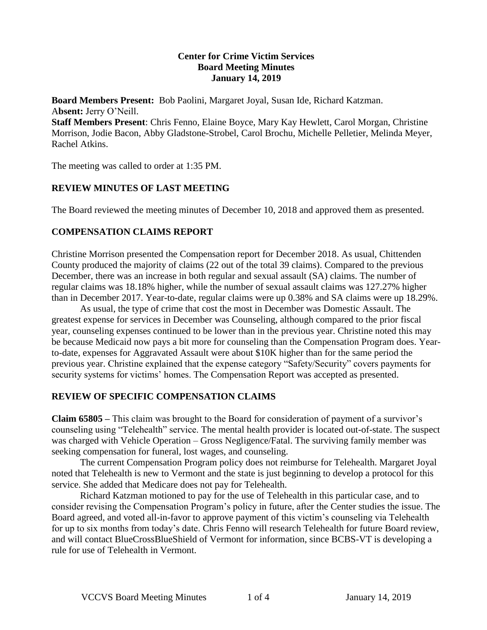#### **Center for Crime Victim Services Board Meeting Minutes January 14, 2019**

**Board Members Present:** Bob Paolini, Margaret Joyal, Susan Ide, Richard Katzman. A**bsent:** Jerry O'Neill.

**Staff Members Present**: Chris Fenno, Elaine Boyce, Mary Kay Hewlett, Carol Morgan, Christine Morrison, Jodie Bacon, Abby Gladstone-Strobel, Carol Brochu, Michelle Pelletier, Melinda Meyer, Rachel Atkins.

The meeting was called to order at 1:35 PM.

# **REVIEW MINUTES OF LAST MEETING**

The Board reviewed the meeting minutes of December 10, 2018 and approved them as presented.

# **COMPENSATION CLAIMS REPORT**

Christine Morrison presented the Compensation report for December 2018. As usual, Chittenden County produced the majority of claims (22 out of the total 39 claims). Compared to the previous December, there was an increase in both regular and sexual assault (SA) claims. The number of regular claims was 18.18% higher, while the number of sexual assault claims was 127.27% higher than in December 2017. Year-to-date, regular claims were up 0.38% and SA claims were up 18.29%.

As usual, the type of crime that cost the most in December was Domestic Assault. The greatest expense for services in December was Counseling, although compared to the prior fiscal year, counseling expenses continued to be lower than in the previous year. Christine noted this may be because Medicaid now pays a bit more for counseling than the Compensation Program does. Yearto-date, expenses for Aggravated Assault were about \$10K higher than for the same period the previous year. Christine explained that the expense category "Safety/Security" covers payments for security systems for victims' homes. The Compensation Report was accepted as presented.

## **REVIEW OF SPECIFIC COMPENSATION CLAIMS**

**Claim 65805 –** This claim was brought to the Board for consideration of payment of a survivor's counseling using "Telehealth" service. The mental health provider is located out-of-state. The suspect was charged with Vehicle Operation – Gross Negligence/Fatal. The surviving family member was seeking compensation for funeral, lost wages, and counseling.

The current Compensation Program policy does not reimburse for Telehealth. Margaret Joyal noted that Telehealth is new to Vermont and the state is just beginning to develop a protocol for this service. She added that Medicare does not pay for Telehealth.

Richard Katzman motioned to pay for the use of Telehealth in this particular case, and to consider revising the Compensation Program's policy in future, after the Center studies the issue. The Board agreed, and voted all-in-favor to approve payment of this victim's counseling via Telehealth for up to six months from today's date. Chris Fenno will research Telehealth for future Board review, and will contact BlueCrossBlueShield of Vermont for information, since BCBS-VT is developing a rule for use of Telehealth in Vermont.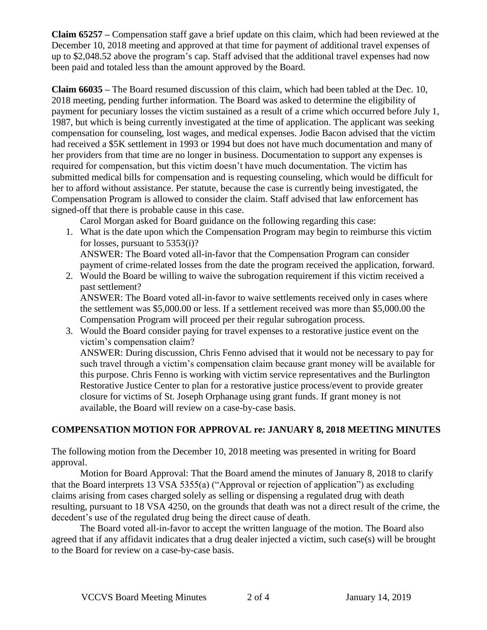**Claim 65257 –** Compensation staff gave a brief update on this claim, which had been reviewed at the December 10, 2018 meeting and approved at that time for payment of additional travel expenses of up to \$2,048.52 above the program's cap. Staff advised that the additional travel expenses had now been paid and totaled less than the amount approved by the Board.

**Claim 66035 –** The Board resumed discussion of this claim, which had been tabled at the Dec. 10, 2018 meeting, pending further information. The Board was asked to determine the eligibility of payment for pecuniary losses the victim sustained as a result of a crime which occurred before July 1, 1987, but which is being currently investigated at the time of application. The applicant was seeking compensation for counseling, lost wages, and medical expenses. Jodie Bacon advised that the victim had received a \$5K settlement in 1993 or 1994 but does not have much documentation and many of her providers from that time are no longer in business. Documentation to support any expenses is required for compensation, but this victim doesn't have much documentation. The victim has submitted medical bills for compensation and is requesting counseling, which would be difficult for her to afford without assistance. Per statute, because the case is currently being investigated, the Compensation Program is allowed to consider the claim. Staff advised that law enforcement has signed-off that there is probable cause in this case.

Carol Morgan asked for Board guidance on the following regarding this case:

- 1. What is the date upon which the Compensation Program may begin to reimburse this victim for losses, pursuant to 5353(i)? ANSWER: The Board voted all-in-favor that the Compensation Program can consider payment of crime-related losses from the date the program received the application, forward.
- 2. Would the Board be willing to waive the subrogation requirement if this victim received a past settlement?

ANSWER: The Board voted all-in-favor to waive settlements received only in cases where the settlement was \$5,000.00 or less. If a settlement received was more than \$5,000.00 the Compensation Program will proceed per their regular subrogation process.

3. Would the Board consider paying for travel expenses to a restorative justice event on the victim's compensation claim? ANSWER: During discussion, Chris Fenno advised that it would not be necessary to pay for such travel through a victim's compensation claim because grant money will be available for this purpose. Chris Fenno is working with victim service representatives and the Burlington Restorative Justice Center to plan for a restorative justice process/event to provide greater closure for victims of St. Joseph Orphanage using grant funds. If grant money is not available, the Board will review on a case-by-case basis.

## **COMPENSATION MOTION FOR APPROVAL re: JANUARY 8, 2018 MEETING MINUTES**

The following motion from the December 10, 2018 meeting was presented in writing for Board approval.

Motion for Board Approval: That the Board amend the minutes of January 8, 2018 to clarify that the Board interprets 13 VSA 5355(a) ("Approval or rejection of application") as excluding claims arising from cases charged solely as selling or dispensing a regulated drug with death resulting, pursuant to 18 VSA 4250, on the grounds that death was not a direct result of the crime, the decedent's use of the regulated drug being the direct cause of death.

The Board voted all-in-favor to accept the written language of the motion. The Board also agreed that if any affidavit indicates that a drug dealer injected a victim, such case(s) will be brought to the Board for review on a case-by-case basis.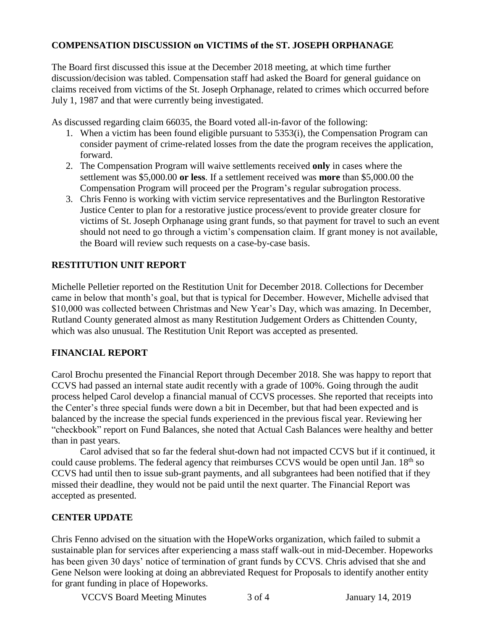#### **COMPENSATION DISCUSSION on VICTIMS of the ST. JOSEPH ORPHANAGE**

The Board first discussed this issue at the December 2018 meeting, at which time further discussion/decision was tabled. Compensation staff had asked the Board for general guidance on claims received from victims of the St. Joseph Orphanage, related to crimes which occurred before July 1, 1987 and that were currently being investigated.

As discussed regarding claim 66035, the Board voted all-in-favor of the following:

- 1. When a victim has been found eligible pursuant to 5353(i), the Compensation Program can consider payment of crime-related losses from the date the program receives the application, forward.
- 2. The Compensation Program will waive settlements received **only** in cases where the settlement was \$5,000.00 **or less**. If a settlement received was **more** than \$5,000.00 the Compensation Program will proceed per the Program's regular subrogation process.
- 3. Chris Fenno is working with victim service representatives and the Burlington Restorative Justice Center to plan for a restorative justice process/event to provide greater closure for victims of St. Joseph Orphanage using grant funds, so that payment for travel to such an event should not need to go through a victim's compensation claim. If grant money is not available, the Board will review such requests on a case-by-case basis.

## **RESTITUTION UNIT REPORT**

Michelle Pelletier reported on the Restitution Unit for December 2018. Collections for December came in below that month's goal, but that is typical for December. However, Michelle advised that \$10,000 was collected between Christmas and New Year's Day, which was amazing. In December, Rutland County generated almost as many Restitution Judgement Orders as Chittenden County, which was also unusual. The Restitution Unit Report was accepted as presented.

#### **FINANCIAL REPORT**

Carol Brochu presented the Financial Report through December 2018. She was happy to report that CCVS had passed an internal state audit recently with a grade of 100%. Going through the audit process helped Carol develop a financial manual of CCVS processes. She reported that receipts into the Center's three special funds were down a bit in December, but that had been expected and is balanced by the increase the special funds experienced in the previous fiscal year. Reviewing her "checkbook" report on Fund Balances, she noted that Actual Cash Balances were healthy and better than in past years.

Carol advised that so far the federal shut-down had not impacted CCVS but if it continued, it could cause problems. The federal agency that reimburses CCVS would be open until Jan.  $18<sup>th</sup>$  so CCVS had until then to issue sub-grant payments, and all subgrantees had been notified that if they missed their deadline, they would not be paid until the next quarter. The Financial Report was accepted as presented.

#### **CENTER UPDATE**

Chris Fenno advised on the situation with the HopeWorks organization, which failed to submit a sustainable plan for services after experiencing a mass staff walk-out in mid-December. Hopeworks has been given 30 days' notice of termination of grant funds by CCVS. Chris advised that she and Gene Nelson were looking at doing an abbreviated Request for Proposals to identify another entity for grant funding in place of Hopeworks.

VCCVS Board Meeting Minutes 3 of 4 January 14, 2019